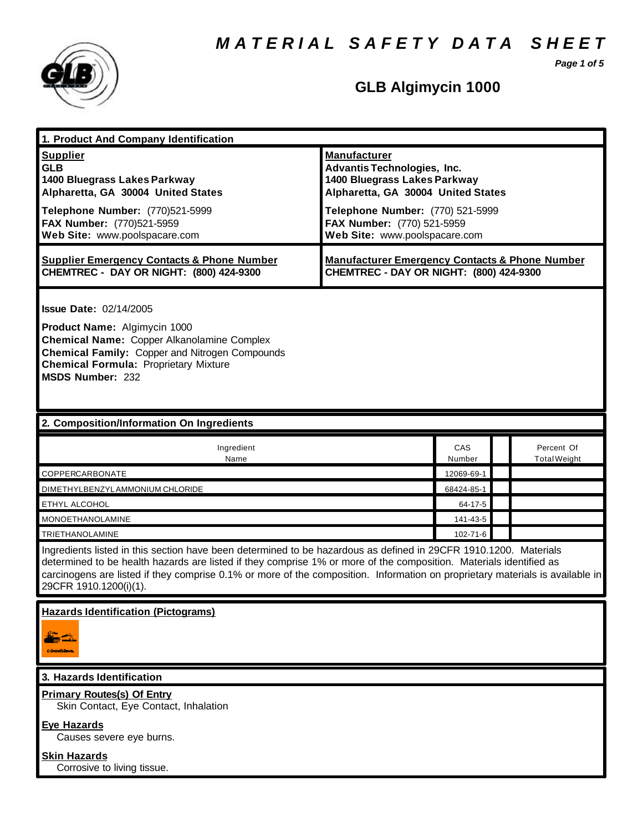*M A T E R I A L S A F E T Y D A T A S H E E T*



## **GLB Algimycin 1000**

*Page 1 of 5*

| 1. Product And Company Identification                                                                                                                                                                                                                                                                                                                                                             |                                                                                                                                                                                                                                    |               |                                   |  |
|---------------------------------------------------------------------------------------------------------------------------------------------------------------------------------------------------------------------------------------------------------------------------------------------------------------------------------------------------------------------------------------------------|------------------------------------------------------------------------------------------------------------------------------------------------------------------------------------------------------------------------------------|---------------|-----------------------------------|--|
| <b>Supplier</b><br><b>GLB</b><br>1400 Bluegrass Lakes Parkway<br>Alpharetta, GA 30004 United States<br>Telephone Number: (770)521-5999<br>FAX Number: (770)521-5959<br>Web Site: www.poolspacare.com                                                                                                                                                                                              | <b>Manufacturer</b><br><b>Advantis Technologies, Inc.</b><br>1400 Bluegrass Lakes Parkway<br>Alpharetta, GA 30004 United States<br>Telephone Number: (770) 521-5999<br>FAX Number: (770) 521-5959<br>Web Site: www.poolspacare.com |               |                                   |  |
| <b>Supplier Emergency Contacts &amp; Phone Number</b><br>CHEMTREC - DAY OR NIGHT: (800) 424-9300                                                                                                                                                                                                                                                                                                  | <b>Manufacturer Emergency Contacts &amp; Phone Number</b><br>CHEMTREC - DAY OR NIGHT: (800) 424-9300                                                                                                                               |               |                                   |  |
| <b>Issue Date: 02/14/2005</b><br>Product Name: Algimycin 1000<br>Chemical Name: Copper Alkanolamine Complex<br><b>Chemical Family: Copper and Nitrogen Compounds</b><br><b>Chemical Formula: Proprietary Mixture</b><br><b>MSDS Number: 232</b>                                                                                                                                                   |                                                                                                                                                                                                                                    |               |                                   |  |
| 2. Composition/Information On Ingredients                                                                                                                                                                                                                                                                                                                                                         |                                                                                                                                                                                                                                    |               |                                   |  |
| Ingredient<br>Name                                                                                                                                                                                                                                                                                                                                                                                |                                                                                                                                                                                                                                    | CAS<br>Number | Percent Of<br><b>Total Weight</b> |  |
| COPPERCARBONATE                                                                                                                                                                                                                                                                                                                                                                                   |                                                                                                                                                                                                                                    | 12069-69-1    |                                   |  |
| DIMETHYLBENZYLAMMONIUM CHLORIDE                                                                                                                                                                                                                                                                                                                                                                   |                                                                                                                                                                                                                                    | 68424-85-1    |                                   |  |
| ETHYL ALCOHOL                                                                                                                                                                                                                                                                                                                                                                                     |                                                                                                                                                                                                                                    | 64-17-5       |                                   |  |
| <b>MONOETHANOLAMINE</b>                                                                                                                                                                                                                                                                                                                                                                           |                                                                                                                                                                                                                                    | 141-43-5      |                                   |  |
| <b>TRIETHANOLAMINE</b>                                                                                                                                                                                                                                                                                                                                                                            |                                                                                                                                                                                                                                    | 102-71-6      |                                   |  |
| Ingredients listed in this section have been determined to be hazardous as defined in 29CFR 1910.1200. Materials<br>determined to be health hazards are listed if they comprise 1% or more of the composition. Materials identified as<br>carcinogens are listed if they comprise 0.1% or more of the composition. Information on proprietary materials is available in<br>29CFR 1910.1200(i)(1). |                                                                                                                                                                                                                                    |               |                                   |  |
| <b>Hazards Identification (Pictograms)</b>                                                                                                                                                                                                                                                                                                                                                        |                                                                                                                                                                                                                                    |               |                                   |  |
| 3. Hazards Identification                                                                                                                                                                                                                                                                                                                                                                         |                                                                                                                                                                                                                                    |               |                                   |  |
| <b>Primary Routes(s) Of Entry</b><br>Skin Contact, Eye Contact, Inhalation<br><b>Eye Hazards</b><br>Causes severe eye burns.                                                                                                                                                                                                                                                                      |                                                                                                                                                                                                                                    |               |                                   |  |
| <b>Skin Hazards</b><br>Corrosive to living tissue.                                                                                                                                                                                                                                                                                                                                                |                                                                                                                                                                                                                                    |               |                                   |  |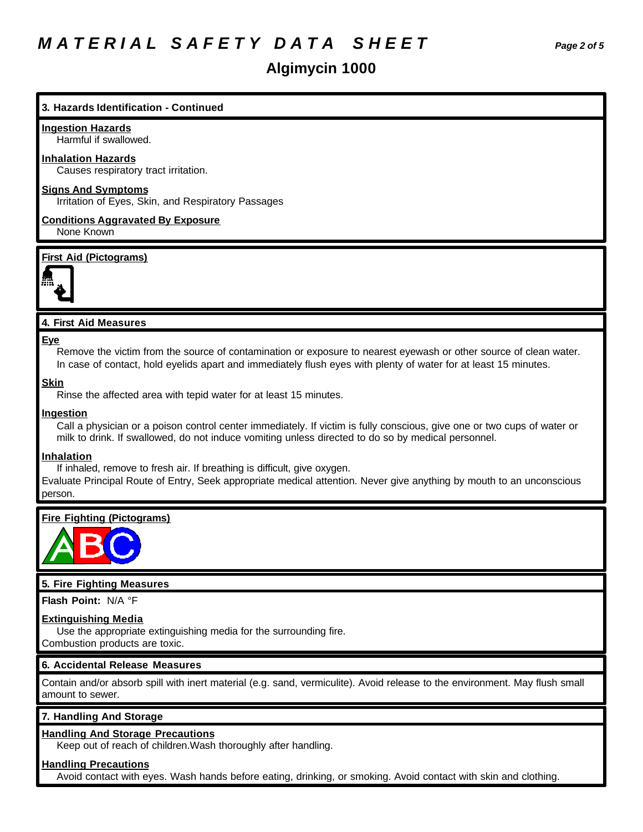## *M A T E R I A L S A F E T Y D A T A S H E E T Page 2 of 5*

### **Algimycin 1000**

### **3. Hazards Identification - Continued**

### **Ingestion Hazards**

Harmful if swallowed.

### **Inhalation Hazards**

Causes respiratory tract irritation.

### **Signs And Symptoms**

Irritation of Eyes, Skin, and Respiratory Passages

**Conditions Aggravated By Exposure** None Known

### **First Aid (Pictograms)**



### **4. First Aid Measures**

### **Eye**

Remove the victim from the source of contamination or exposure to nearest eyewash or other source of clean water. In case of contact, hold eyelids apart and immediately flush eyes with plenty of water for at least 15 minutes.

### **Skin**

Rinse the affected area with tepid water for at least 15 minutes.

### **Ingestion**

Call a physician or a poison control center immediately. If victim is fully conscious, give one or two cups of water or milk to drink. If swallowed, do not induce vomiting unless directed to do so by medical personnel.

### **Inhalation**

If inhaled, remove to fresh air. If breathing is difficult, give oxygen.

Evaluate Principal Route of Entry, Seek appropriate medical attention. Never give anything by mouth to an unconscious person.

### **Fire Fighting (Pictograms)**



### **5. Fire Fighting Measures**

**Flash Point:** N/A °F

### **Extinguishing Media**

Use the appropriate extinguishing media for the surrounding fire.

Combustion products are toxic.

### **6. Accidental Release Measures**

Contain and/or absorb spill with inert material (e.g. sand, vermiculite). Avoid release to the environment. May flush small amount to sewer.

### **7. Handling And Storage**

### **Handling And Storage Precautions**

Keep out of reach of children.Wash thoroughly after handling.

### **Handling Precautions**

Avoid contact with eyes. Wash hands before eating, drinking, or smoking. Avoid contact with skin and clothing.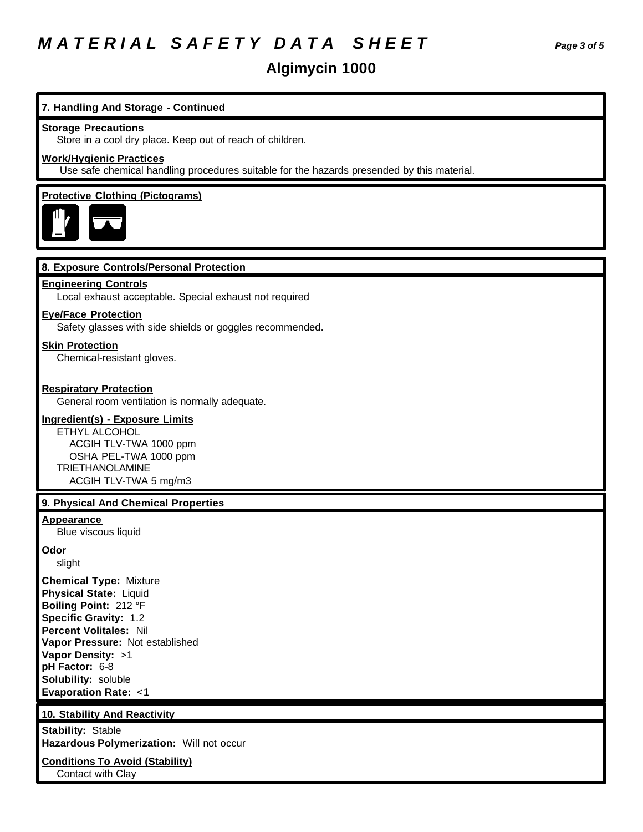## *M A T E R I A L S A F E T Y D A T A S H E E T Page 3 of 5*

### **Algimycin 1000**

### **7. Handling And Storage - Continued**

### **Storage Precautions**

Store in a cool dry place. Keep out of reach of children.

### **Work/Hygienic Practices**

Use safe chemical handling procedures suitable for the hazards presended by this material.

### **Protective Clothing (Pictograms)**



### **8. Exposure Controls/Personal Protection**

#### **Engineering Controls**

Local exhaust acceptable. Special exhaust not required

### **Eye/Face Protection**

Safety glasses with side shields or goggles recommended.

### **Skin Protection**

Chemical-resistant gloves.

### **Respiratory Protection**

General room ventilation is normally adequate.

### **Ingredient(s) - Exposure Limits**

ETHYL ALCOHOL ACGIH TLV-TWA 1000 ppm OSHA PEL-TWA 1000 ppm TRIETHANOLAMINE ACGIH TLV-TWA 5 mg/m3

### **9. Physical And Chemical Properties**

#### **Appearance**

Blue viscous liquid

#### **Odor**

slight

**Chemical Type:** Mixture **Physical State:** Liquid **Boiling Point:** 212 °F **Specific Gravity:** 1.2 **Percent Volitales:** Nil **Vapor Pressure:** Not established **Vapor Density:** >1 **pH Factor:** 6-8 **Solubility:** soluble **Evaporation Rate:** <1

### **10. Stability And Reactivity**

**Stability:** Stable **Hazardous Polymerization:** Will not occur

### **Conditions To Avoid (Stability)**

Contact with Clay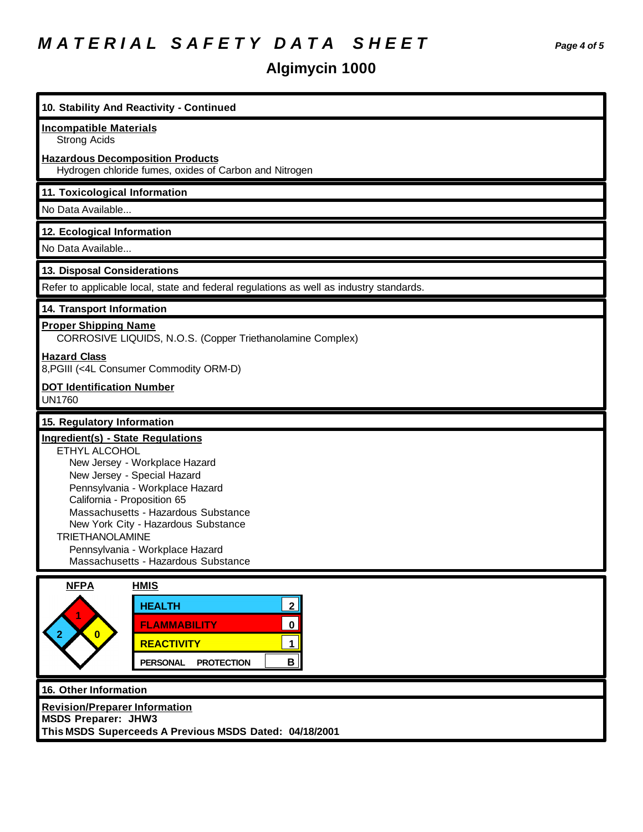## *M A T E R I A L S A F E T Y D A T A S H E E T Page 4 of 5*

# **Algimycin 1000**

| 10. Stability And Reactivity - Continued                                                                                                                                                                                                                                                                                                                               |  |  |
|------------------------------------------------------------------------------------------------------------------------------------------------------------------------------------------------------------------------------------------------------------------------------------------------------------------------------------------------------------------------|--|--|
| <b>Incompatible Materials</b><br><b>Strong Acids</b>                                                                                                                                                                                                                                                                                                                   |  |  |
| <b>Hazardous Decomposition Products</b><br>Hydrogen chloride fumes, oxides of Carbon and Nitrogen                                                                                                                                                                                                                                                                      |  |  |
| 11. Toxicological Information                                                                                                                                                                                                                                                                                                                                          |  |  |
| No Data Available                                                                                                                                                                                                                                                                                                                                                      |  |  |
| 12. Ecological Information                                                                                                                                                                                                                                                                                                                                             |  |  |
| No Data Available                                                                                                                                                                                                                                                                                                                                                      |  |  |
| 13. Disposal Considerations                                                                                                                                                                                                                                                                                                                                            |  |  |
| Refer to applicable local, state and federal regulations as well as industry standards.                                                                                                                                                                                                                                                                                |  |  |
| 14. Transport Information                                                                                                                                                                                                                                                                                                                                              |  |  |
| <b>Proper Shipping Name</b><br>CORROSIVE LIQUIDS, N.O.S. (Copper Triethanolamine Complex)                                                                                                                                                                                                                                                                              |  |  |
| <b>Hazard Class</b><br>8, PGIII (<4L Consumer Commodity ORM-D)                                                                                                                                                                                                                                                                                                         |  |  |
| <b>DOT Identification Number</b><br><b>UN1760</b>                                                                                                                                                                                                                                                                                                                      |  |  |
| 15. Regulatory Information                                                                                                                                                                                                                                                                                                                                             |  |  |
| Ingredient(s) - State Regulations<br>ETHYL ALCOHOL<br>New Jersey - Workplace Hazard<br>New Jersey - Special Hazard<br>Pennsylvania - Workplace Hazard<br>California - Proposition 65<br>Massachusetts - Hazardous Substance<br>New York City - Hazardous Substance<br><b>TRIETHANOLAMINE</b><br>Pennsylvania - Workplace Hazard<br>Massachusetts - Hazardous Substance |  |  |
| <b>NFPA</b><br><b>HMIS</b>                                                                                                                                                                                                                                                                                                                                             |  |  |
| $\mathbf{2}$<br><b>HEALTH</b>                                                                                                                                                                                                                                                                                                                                          |  |  |
| $\mathbf 0$<br><b>FLAMMABILITY</b><br>$\bullet$                                                                                                                                                                                                                                                                                                                        |  |  |
| $\mathbf 1$<br><b>REACTIVITY</b>                                                                                                                                                                                                                                                                                                                                       |  |  |
| $\mathbf{B}$<br><b>PROTECTION</b><br><b>PERSONAL</b>                                                                                                                                                                                                                                                                                                                   |  |  |
| 16. Other Information                                                                                                                                                                                                                                                                                                                                                  |  |  |
| <b>Revision/Preparer Information</b><br><b>MSDS Preparer: JHW3</b><br>This MSDS Superceeds A Previous MSDS Dated: 04/18/2001                                                                                                                                                                                                                                           |  |  |